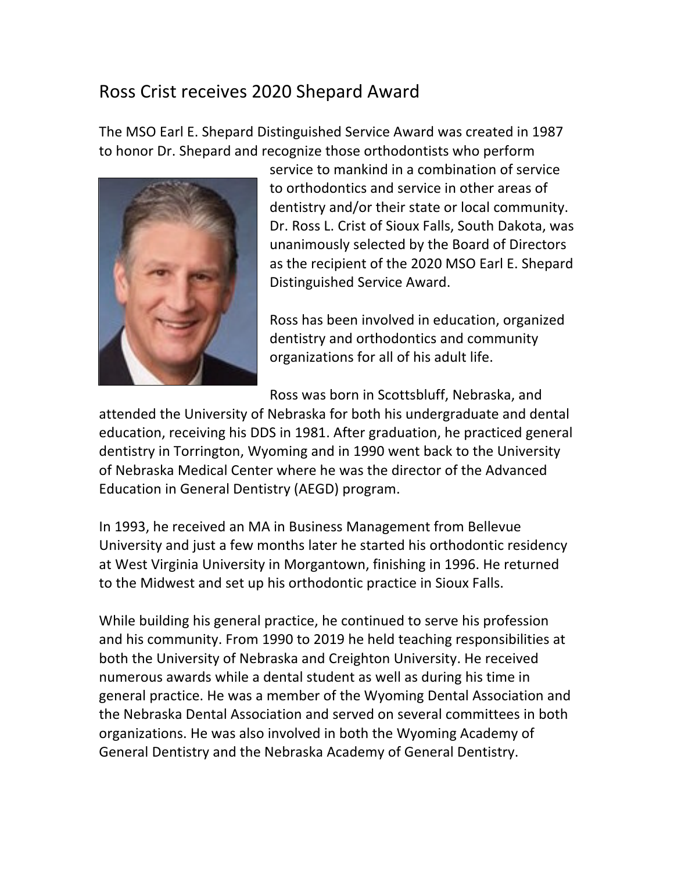## Ross Crist receives 2020 Shepard Award

The MSO Earl E. Shepard Distinguished Service Award was created in 1987 to honor Dr. Shepard and recognize those orthodontists who perform



service to mankind in a combination of service to orthodontics and service in other areas of dentistry and/or their state or local community. Dr. Ross L. Crist of Sioux Falls, South Dakota, was unanimously selected by the Board of Directors as the recipient of the 2020 MSO Earl E. Shepard Distinguished Service Award.

Ross has been involved in education, organized dentistry and orthodontics and community organizations for all of his adult life.

Ross was born in Scottsbluff, Nebraska, and

attended the University of Nebraska for both his undergraduate and dental education, receiving his DDS in 1981. After graduation, he practiced general dentistry in Torrington, Wyoming and in 1990 went back to the University of Nebraska Medical Center where he was the director of the Advanced Education in General Dentistry (AEGD) program.

In 1993, he received an MA in Business Management from Bellevue University and just a few months later he started his orthodontic residency at West Virginia University in Morgantown, finishing in 1996. He returned to the Midwest and set up his orthodontic practice in Sioux Falls.

While building his general practice, he continued to serve his profession and his community. From 1990 to 2019 he held teaching responsibilities at both the University of Nebraska and Creighton University. He received numerous awards while a dental student as well as during his time in general practice. He was a member of the Wyoming Dental Association and the Nebraska Dental Association and served on several committees in both organizations. He was also involved in both the Wyoming Academy of General Dentistry and the Nebraska Academy of General Dentistry.